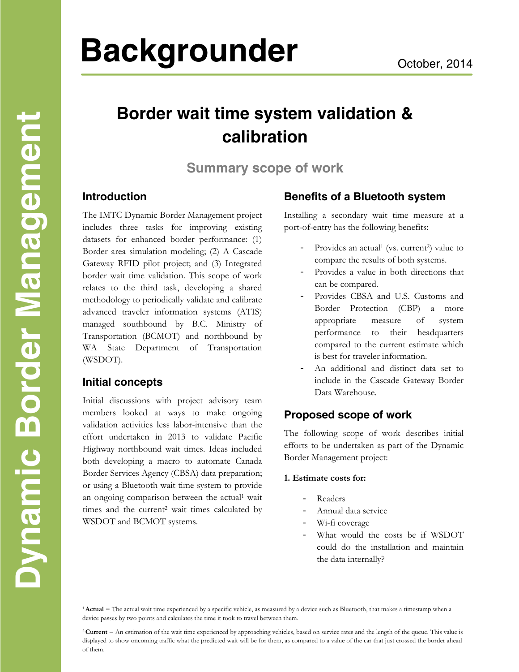# **Backgrounder** October, 2014

# **Border wait time system validation & calibration**

**Summary scope of work** 

# **Introduction**

The IMTC Dynamic Border Management project includes three tasks for improving existing datasets for enhanced border performance: (1) Border area simulation modeling; (2) A Cascade Gateway RFID pilot project; and (3) Integrated border wait time validation. This scope of work relates to the third task, developing a shared methodology to periodically validate and calibrate advanced traveler information systems (ATIS) managed southbound by B.C. Ministry of Transportation (BCMOT) and northbound by WA State Department of Transportation (WSDOT).

# **Initial concepts**

Initial discussions with project advisory team members looked at ways to make ongoing validation activities less labor-intensive than the effort undertaken in 2013 to validate Pacific Highway northbound wait times. Ideas included both developing a macro to automate Canada Border Services Agency (CBSA) data preparation; or using a Bluetooth wait time system to provide an ongoing comparison between the actual<sup>1</sup> wait times and the current<sup>2</sup> wait times calculated by WSDOT and BCMOT systems.

# **Benefits of a Bluetooth system**

Installing a secondary wait time measure at a port-of-entry has the following benefits:

- Provides an actual<sup>1</sup> (vs. current<sup>2</sup>) value to compare the results of both systems.
- Provides a value in both directions that can be compared.
- Provides CBSA and U.S. Customs and Border Protection (CBP) a more appropriate measure of system performance to their headquarters compared to the current estimate which is best for traveler information.
- An additional and distinct data set to include in the Cascade Gateway Border Data Warehouse.

# **Proposed scope of work**

The following scope of work describes initial efforts to be undertaken as part of the Dynamic Border Management project:

#### **1. Estimate costs for:**

- Readers
- Annual data service
- Wi-fi coverage
- What would the costs be if WSDOT could do the installation and maintain the data internally?

<sup>1</sup> Actual = The actual wait time experienced by a specific vehicle, as measured by a device such as Bluetooth, that makes a timestamp when a device passes by two points and calculates the time it took to travel between them.

<sup>2</sup>**Current** = An estimation of the wait time experienced by approaching vehicles, based on service rates and the length of the queue. This value is displayed to show oncoming traffic what the predicted wait will be for them, as compared to a value of the car that just crossed the border ahead of them.